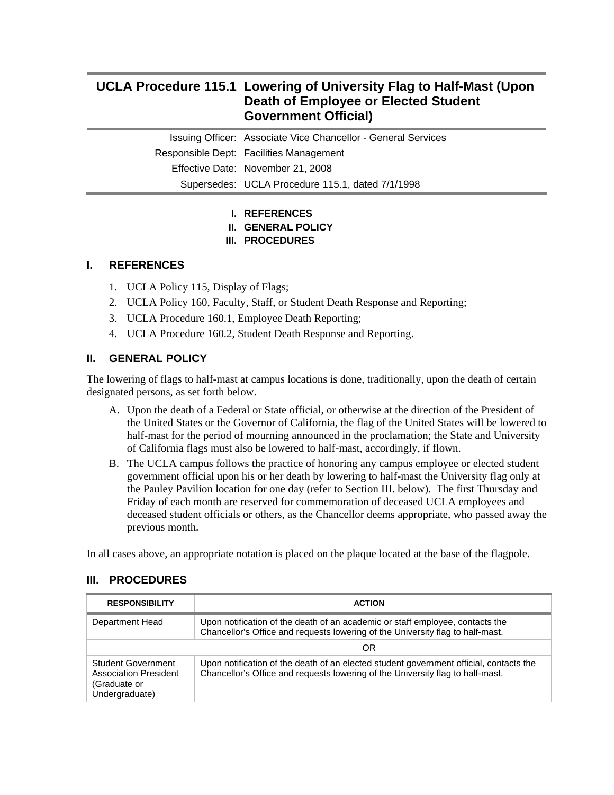# **UCLA Procedure 115.1 Lowering of University Flag to Half-Mast (Upon Death of Employee or Elected Student Government Official)**

Issuing Officer: Associate Vice Chancellor - General Services Responsible Dept: Facilities Management Effective Date: November 21, 2008 Supersedes: UCLA Procedure 115.1, dated 7/1/1998

# **I. REFERENCES**

**II. GENERAL POLICY** 

### **III. PROCEDURES**

### **I. REFERENCES**

- 1. UCLA Policy 115, Display of Flags;
- 2. UCLA Policy 160, Faculty, Staff, or Student Death Response and Reporting;
- 3. UCLA Procedure 160.1, Employee Death Reporting;
- 4. UCLA Procedure 160.2, Student Death Response and Reporting.

# **II. GENERAL POLICY**

The lowering of flags to half-mast at campus locations is done, traditionally, upon the death of certain designated persons, as set forth below.

- A. Upon the death of a Federal or State official, or otherwise at the direction of the President of the United States or the Governor of California, the flag of the United States will be lowered to half-mast for the period of mourning announced in the proclamation; the State and University of California flags must also be lowered to half-mast, accordingly, if flown.
- B. The UCLA campus follows the practice of honoring any campus employee or elected student government official upon his or her death by lowering to half-mast the University flag only at the Pauley Pavilion location for one day (refer to Section III. below). The first Thursday and Friday of each month are reserved for commemoration of deceased UCLA employees and deceased student officials or others, as the Chancellor deems appropriate, who passed away the previous month.

In all cases above, an appropriate notation is placed on the plaque located at the base of the flagpole.

#### **III. PROCEDURES**

| <b>RESPONSIBILITY</b>                                                                | <b>ACTION</b>                                                                                                                                                            |
|--------------------------------------------------------------------------------------|--------------------------------------------------------------------------------------------------------------------------------------------------------------------------|
| Department Head                                                                      | Upon notification of the death of an academic or staff employee, contacts the<br>Chancellor's Office and requests lowering of the University flag to half-mast.          |
|                                                                                      | OR                                                                                                                                                                       |
| Student Government<br><b>Association President</b><br>(Graduate or<br>Undergraduate) | Upon notification of the death of an elected student government official, contacts the<br>Chancellor's Office and requests lowering of the University flag to half-mast. |